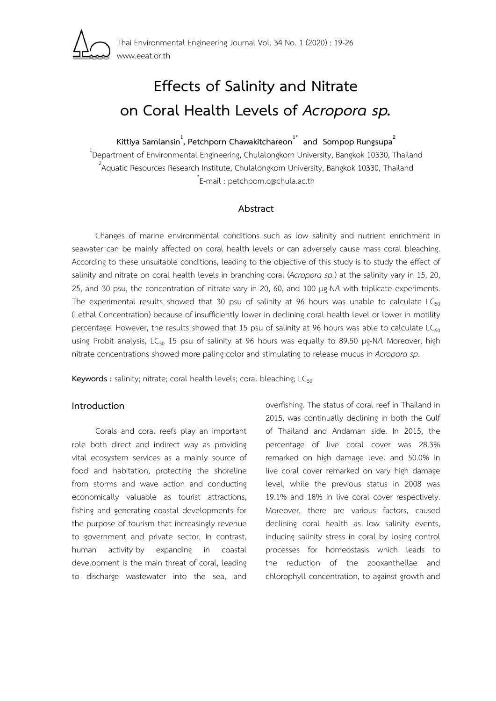

# **Effects of Salinity and Nitrate on Coral Health Levels of** *Acropora sp.*

**Kittiya Samlansin<sup>1</sup> , Petchporn Chawakitchareon1\* and Sompop Rungsupa2**

<sup>1</sup>Department of Environmental Engineering, Chulalongkorn University, Bangkok 10330, Thailand <sup>2</sup>Anustia Persuasa Personal Institute Chulalongkom University, Bangkok 10330, Thailand Aquatic Resources Research Institute, Chulalongkorn University, Bangkok 10330, Thailand \* E-mail : petchporn.c@chula.ac.th

# **Abstract**

Changes of marine environmental conditions such as low salinity and nutrient enrichment in seawater can be mainly affected on coral health levels or can adversely cause mass coral bleaching. According to these unsuitable conditions, leading to the objective of this study is to study the effect of salinity and nitrate on coral health levels in branching coral (*Acropora sp.*) at the salinity vary in 15, 20, 25, and 30 psu, the concentration of nitrate vary in 20, 60, and 100 μg-N/l with triplicate experiments. The experimental results showed that 30 psu of salinity at 96 hours was unable to calculate  $LC_{50}$ (Lethal Concentration) because of insufficiently lower in declining coral health level or lower in motility percentage. However, the results showed that 15 psu of salinity at 96 hours was able to calculate  $LC_{50}$ using Probit analysis, LC<sub>50</sub> 15 psu of salinity at 96 hours was equally to 89.50 μg-N/l Moreover, high nitrate concentrations showed more paling color and stimulating to release mucus in *Acropora sp*.

Keywords : salinity; nitrate; coral health levels; coral bleaching; LC<sub>50</sub>

# **Introduction**

Corals and coral reefs play an important role both direct and indirect way as providing vital ecosystem services as a mainly source of food and habitation, protecting the shoreline from storms and wave action and conducting economically valuable as tourist attractions, fishing and generating coastal developments for the purpose of tourism that increasingly revenue to government and private sector. In contrast, human activity by expanding in coastal development is the main threat of coral, leading to discharge wastewater into the sea, and overfishing. The status of coral reef in Thailand in 2015, was continually declining in both the Gulf of Thailand and Andaman side. In 2015, the percentage of live coral cover was 28.3% remarked on high damage level and 50.0% in live coral cover remarked on vary high damage level, while the previous status in 2008 was 19.1% and 18% in live coral cover respectively. Moreover, there are various factors, caused declining coral health as low salinity events, inducing salinity stress in coral by losing control processes for homeostasis which leads to the reduction of the zooxanthellae and chlorophyll concentration, to against growth and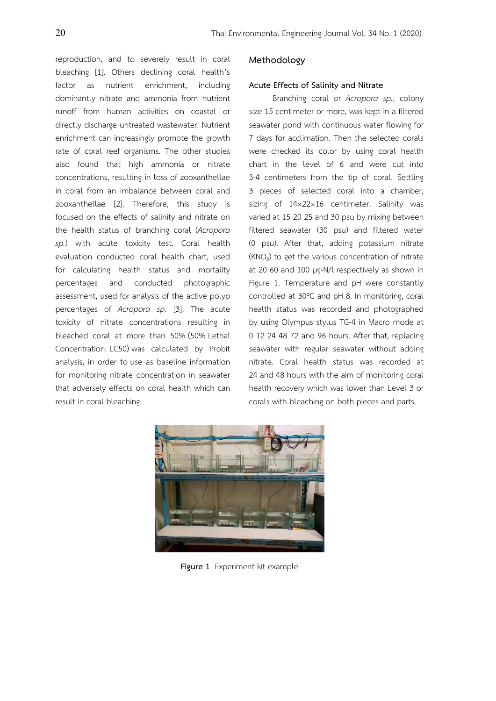reproduction, and to severely result in coral bleaching [1]. Others declining coral health's factor as nutrient enrichment, including dominantly nitrate and ammonia from nutrient runoff from human activities on coastal or directly discharge untreated wastewater. Nutrient enrichment can increasingly promote the growth rate of coral reef organisms. The other studies also found that high ammonia or nitrate concentrations, resulting in loss of zooxanthellae in coral from an imbalance between coral and zooxanthellae [2]. Therefore, this study is focused on the effects of salinity and nitrate on the health status of branching coral (*Acropora sp.*) with acute toxicity test. Coral health evaluation conducted coral health chart, used for calculating health status and mortality percentages and conducted photographic assessment, used for analysis of the active polyp percentages of *Acropora sp*. [3]. The acute toxicity of nitrate concentrations resulting in bleached coral at more than 50% (50% Lethal Concentration: LC50) was calculated by Probit analysis, in order to use as baseline information for monitoring nitrate concentration in seawater that adversely effects on coral health which can result in coral bleaching.

# **Methodology**

#### **Acute Effects of Salinity and Nitrate**

Branching coral or *Acropora sp.*, colony size 15 centimeter or more, was kept in a filtered seawater pond with continuous water flowing for 7 days for acclimation. Then the selected corals were checked its color by using coral health chart in the level of 6 and were cut into 3-4 centimeters from the tip of coral. Settling 3 pieces of selected coral into a chamber, sizing of 14×22×16 centimeter. Salinity was varied at 15 20 25 and 30 psu by mixing between filtered seawater (30 psu) and filtered water (0 psu). After that, adding potassium nitrate  $(KNO<sub>3</sub>)$  to get the various concentration of nitrate at 20 60 and 100 μg-N/l respectively as shown in Figure 1. Temperature and pH were constantly controlled at 30ºC and pH 8. In monitoring, coral health status was recorded and photographed by using Olympus stylus TG-4 in Macro mode at 0 12 24 48 72 and 96 hours. After that, replacing seawater with regular seawater without adding nitrate. Coral health status was recorded at 24 and 48 hours with the aim of monitoring coral health recovery which was lower than Level 3 or corals with bleaching on both pieces and parts.



**Figure 1** Experiment kit example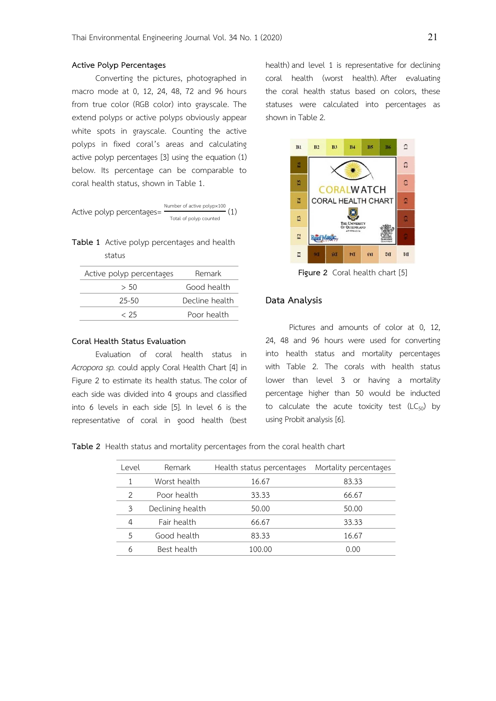#### **Active Polyp Percentages**

Converting the pictures, photographed in macro mode at 0, 12, 24, 48, 72 and 96 hours from true color (RGB color) into grayscale. The extend polyps or active polyps obviously appear white spots in grayscale. Counting the active polyps in fixed coral's areas and calculating active polyp percentages [3] using the equation (1) below. Its percentage can be comparable to coral health status, shown in Table 1.

Active polyp percentages= Number of active polypx100 Total of polyp counted (1)

**Table 1** Active polyp percentages and health status

| Active polyp percentages | Remark         |  |  |
|--------------------------|----------------|--|--|
| > 50                     | Good health    |  |  |
| $25 - 50$                | Decline health |  |  |
| c 25                     | Poor health    |  |  |

#### **Coral Health Status Evaluation**

Evaluation of coral health status in *Acropora sp.* could apply Coral Health Chart [4] in Figure 2 to estimate its health status. The color of each side was divided into 4 groups and classified into 6 levels in each side [5]. In level 6 is the representative of coral in good health (best

health) and level 1 is representative for declining coral health (worst health). After evaluating the coral health status based on colors, these statuses were calculated into percentages as shown in Table 2.



**Figure 2** Coral health chart [5]

## **Data Analysis**

 Pictures and amounts of color at 0, 12, 24, 48 and 96 hours were used for converting into health status and mortality percentages with Table 2. The corals with health status lower than level 3 or having a mortality percentage higher than 50 would be inducted to calculate the acute toxicity test  $(LC_{50})$  by using Probit analysis [6].

**Table 2** Health status and mortality percentages from the coral health chart

| Level | Remark           | Health status percentages | Mortality percentages |  |
|-------|------------------|---------------------------|-----------------------|--|
|       | Worst health     | 16.67                     | 83.33                 |  |
| 2     | Poor health      | 33.33                     | 66.67                 |  |
| 3     | Declining health | 50.00                     | 50.00                 |  |
| 4     | Fair health      | 66.67                     | 33.33                 |  |
| 5     | Good health      | 83.33                     | 16.67                 |  |
| 6     | Best health      | 100.00                    | 0.00                  |  |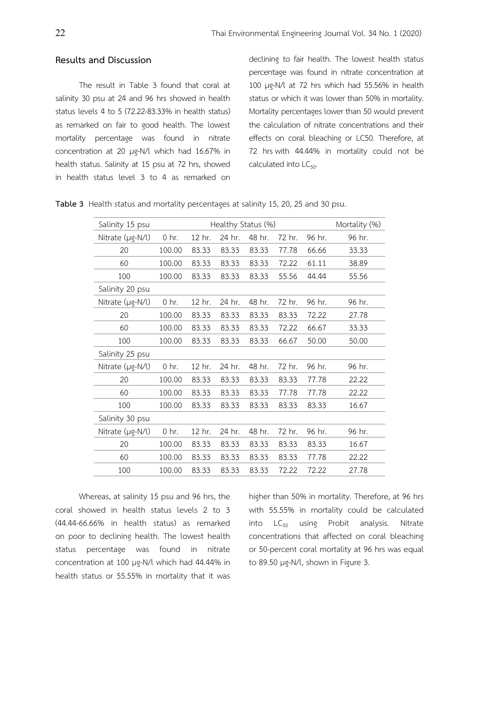# **Results and Discussion**

The result in Table 3 found that coral at salinity 30 psu at 24 and 96 hrs showed in health status levels 4 to 5 (72.22-83.33% in health status) as remarked on fair to good health. The lowest mortality percentage was found in nitrate concentration at 20 μg-N/l which had 16.67% in health status. Salinity at 15 psu at 72 hrs, showed in health status level 3 to 4 as remarked on declining to fair health. The lowest health status percentage was found in nitrate concentration at 100 μg-N/l at 72 hrs which had 55.56% in health status or which it was lower than 50% in mortality. Mortality percentages lower than 50 would prevent the calculation of nitrate concentrations and their effects on coral bleaching or LC50. Therefore, at 72 hrs with 44.44% in mortality could not be calculated into  $LC_{50}$ .

| Salinity 15 psu  | Healthy Status (%) |        |        |        | Mortality (%) |        |        |
|------------------|--------------------|--------|--------|--------|---------------|--------|--------|
| Nitrate (µg-N/l) | $0$ hr.            | 12 hr. | 24 hr. | 48 hr. | 72 hr.        | 96 hr. | 96 hr. |
| 20               | 100.00             | 83.33  | 83.33  | 83.33  | 77.78         | 66.66  | 33.33  |
| 60               | 100.00             | 83.33  | 83.33  | 83.33  | 72.22         | 61.11  | 38.89  |
| 100              | 100.00             | 83.33  | 83.33  | 83.33  | 55.56         | 44.44  | 55.56  |
| Salinity 20 psu  |                    |        |        |        |               |        |        |
| Nitrate (µg-N/l) | $0$ hr.            | 12 hr. | 24 hr. | 48 hr. | 72 hr.        | 96 hr. | 96 hr. |
| 20               | 100.00             | 83.33  | 83.33  | 83.33  | 83.33         | 72.22  | 27.78  |
| 60               | 100.00             | 83.33  | 83.33  | 83.33  | 72.22         | 66.67  | 33.33  |
| 100              | 100.00             | 83.33  | 83.33  | 83.33  | 66.67         | 50.00  | 50.00  |
| Salinity 25 psu  |                    |        |        |        |               |        |        |
| Nitrate (µg-N/l) | 0 hr.              | 12 hr. | 24 hr. | 48 hr. | 72 hr.        | 96 hr. | 96 hr. |
| 20               | 100.00             | 83.33  | 83.33  | 83.33  | 83.33         | 77.78  | 22.22  |
| 60               | 100.00             | 83.33  | 83.33  | 83.33  | 77.78         | 77.78  | 22.22  |
| 100              | 100.00             | 83.33  | 83.33  | 83.33  | 83.33         | 83.33  | 16.67  |
| Salinity 30 psu  |                    |        |        |        |               |        |        |
| Nitrate (µg-N/l) | $0$ hr.            | 12 hr. | 24 hr. | 48 hr. | 72 hr.        | 96 hr. | 96 hr. |
| 20               | 100.00             | 83.33  | 83.33  | 83.33  | 83.33         | 83.33  | 16.67  |
| 60               | 100.00             | 83.33  | 83.33  | 83.33  | 83.33         | 77.78  | 22.22  |
| 100              | 100.00             | 83.33  | 83.33  | 83.33  | 72.22         | 72.22  | 27.78  |

**Table 3** Health status and mortality percentages at salinity 15, 20, 25 and 30 psu.

Whereas, at salinity 15 psu and 96 hrs, the coral showed in health status levels 2 to 3 (44.44-66.66% in health status) as remarked on poor to declining health. The lowest health status percentage was found in nitrate concentration at 100 μg-N/l which had 44.44% in health status or 55.55% in mortality that it was higher than 50% in mortality. Therefore, at 96 hrs with 55.55% in mortality could be calculated into  $LC_{50}$  using Probit analysis. Nitrate concentrations that affected on coral bleaching or 50-percent coral mortality at 96 hrs was equal to 89.50 μg-N/l, shown in Figure 3.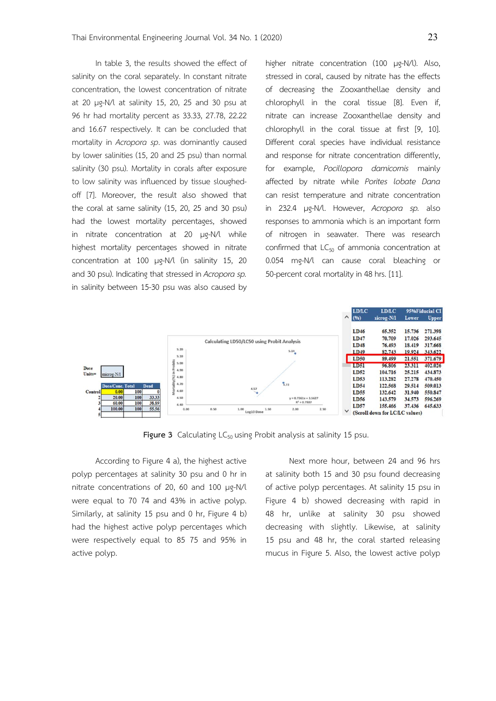In table 3, the results showed the effect of salinity on the coral separately. In constant nitrate concentration, the lowest concentration of nitrate at 20 μg-N/l at salinity 15, 20, 25 and 30 psu at 96 hr had mortality percent as 33.33, 27.78, 22.22 and 16.67 respectively. It can be concluded that mortality in *Acropora sp*. was dominantly caused by lower salinities (15, 20 and 25 psu) than normal salinity (30 psu). Mortality in corals after exposure to low salinity was influenced by tissue sloughedoff [7]. Moreover, the result also showed that the coral at same salinity (15, 20, 25 and 30 psu) had the lowest mortality percentages, showed in nitrate concentration at 20 μg-N/l while highest mortality percentages showed in nitrate concentration at 100 μg-N/l (in salinity 15, 20 and 30 psu). Indicating that stressed in *Acropora sp.* in salinity between 15-30 psu was also caused by higher nitrate concentration (100 μg-N/l). Also, stressed in coral, caused by nitrate has the effects of decreasing the Zooxanthellae density and chlorophyll in the coral tissue [8]. Even if, nitrate can increase Zooxanthellae density and chlorophyll in the coral tissue at first [9, 10]. Different coral species have individual resistance and response for nitrate concentration differently, for example, *Pocillopora damicornis* mainly affected by nitrate while *Porites lobate Dana* can resist temperature and nitrate concentration in 232.4 μg-N/l. However, *Acropora sp.* also responses to ammonia which is an important form of nitrogen in seawater. There was research confirmed that  $LC_{50}$  of ammonia concentration at 0.054 mg-N/l can cause coral bleaching or 50-percent coral mortality in 48 hrs. [11].



**Figure 3** Calculating LC<sub>50</sub> using Probit analysis at salinity 15 psu.

According to Figure 4 a), the highest active polyp percentages at salinity 30 psu and 0 hr in nitrate concentrations of 20, 60 and 100 μg-N/l were equal to 70 74 and 43% in active polyp. Similarly, at salinity 15 psu and 0 hr, Figure 4 b) had the highest active polyp percentages which were respectively equal to 85 75 and 95% in active polyp.

Next more hour, between 24 and 96 hrs at salinity both 15 and 30 psu found decreasing of active polyp percentages. At salinity 15 psu in Figure 4 b) showed decreasing with rapid in 48 hr, unlike at salinity 30 psu showed decreasing with slightly. Likewise, at salinity 15 psu and 48 hr, the coral started releasing mucus in Figure 5. Also, the lowest active polyp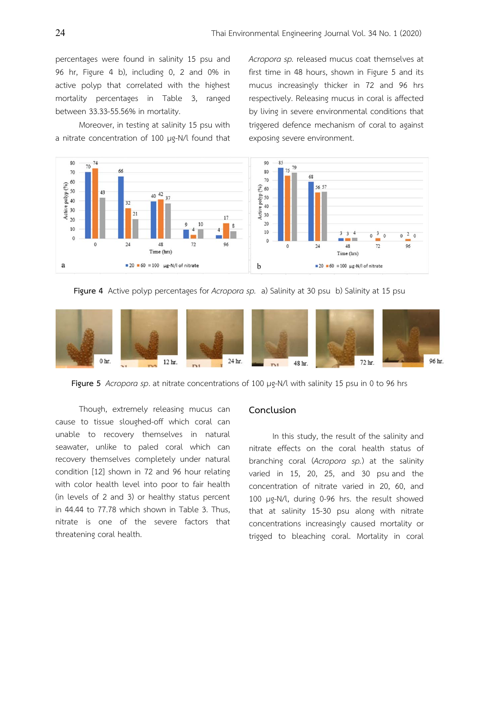percentages were found in salinity 15 psu and 96 hr, Figure 4 b), including 0, 2 and 0% in active polyp that correlated with the highest mortality percentages in Table 3, ranged between 33.33-55.56% in mortality.

Moreover, in testing at salinity 15 psu with a nitrate concentration of 100 μg-N/l found that *Acropora sp.* released mucus coat themselves at first time in 48 hours, shown in Figure 5 and its mucus increasingly thicker in 72 and 96 hrs respectively. Releasing mucus in coral is affected by living in severe environmental conditions that triggered defence mechanism of coral to against exposing severe environment.



**Figure 4** Active polyp percentages for *Acropora sp.* a) Salinity at 30 psu b) Salinity at 15 psu



**Figure 5** *Acropora sp*. at nitrate concentrations of 100 μg-N/l with salinity 15 psu in 0 to 96 hrs

Though, extremely releasing mucus can cause to tissue sloughed-off which coral can unable to recovery themselves in natural seawater, unlike to paled coral which can recovery themselves completely under natural condition [12] shown in 72 and 96 hour relating with color health level into poor to fair health (in levels of 2 and 3) or healthy status percent in 44.44 to 77.78 which shown in Table 3. Thus, nitrate is one of the severe factors that threatening coral health.

# **Conclusion**

In this study, the result of the salinity and nitrate effects on the coral health status of branching coral (*Acropora sp.*) at the salinity varied in 15, 20, 25, and 30 psu and the concentration of nitrate varied in 20, 60, and 100 μg-N/l, during 0-96 hrs. the result showed that at salinity 15-30 psu along with nitrate concentrations increasingly caused mortality or trigged to bleaching coral. Mortality in coral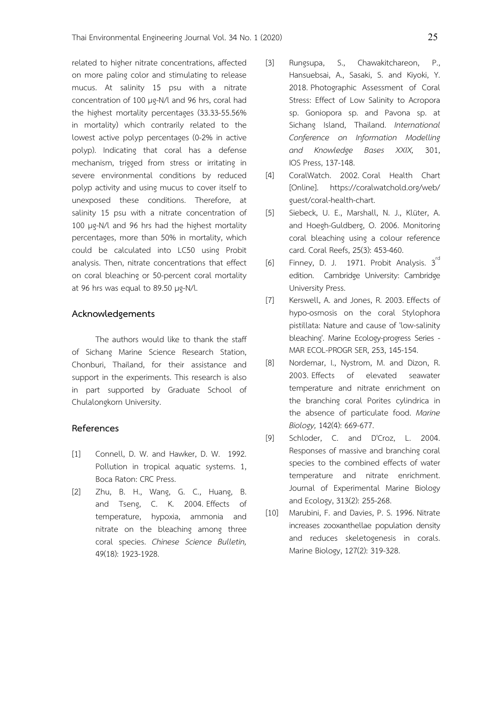related to higher nitrate concentrations, affected on more paling color and stimulating to release mucus. At salinity 15 psu with a nitrate concentration of 100 μg-N/l and 96 hrs, coral had the highest mortality percentages (33.33-55.56% in mortality) which contrarily related to the lowest active polyp percentages (0-2% in active polyp). Indicating that coral has a defense mechanism, trigged from stress or irritating in severe environmental conditions by reduced polyp activity and using mucus to cover itself to unexposed these conditions. Therefore, at salinity 15 psu with a nitrate concentration of 100 μg-N/l and 96 hrs had the highest mortality percentages, more than 50% in mortality, which could be calculated into LC50 using Probit analysis. Then, nitrate concentrations that effect on coral bleaching or 50-percent coral mortality at 96 hrs was equal to 89.50 μg-N/l.

## **Acknowledgements**

The authors would like to thank the staff of Sichang Marine Science Research Station, Chonburi, Thailand, for their assistance and support in the experiments. This research is also in part supported by Graduate School of Chulalongkorn University.

# **References**

- [1] Connell, D. W. and Hawker, D. W. 1992. Pollution in tropical aquatic systems. 1, Boca Raton: CRC Press.
- [2] Zhu, B. H., Wang, G. C., Huang, B. and Tseng, C. K. 2004. Effects of temperature, hypoxia, ammonia and nitrate on the bleaching among three coral species. *Chinese Science Bulletin,*  49(18): 1923-1928.
- [3] Rungsupa, S., Chawakitchareon, P., Hansuebsai, A., Sasaki, S. and Kiyoki, Y. 2018. Photographic Assessment of Coral Stress: Effect of Low Salinity to Acropora sp. Goniopora sp. and Pavona sp. at Sichang Island, Thailand. *International Conference on Information Modelling and Knowledge Bases XXIX,* 301, IOS Press, 137-148.
- [4] CoralWatch. 2002. Coral Health Chart [Online]. https://coralwatchold.org/web/ guest/coral-health-chart.
- [5] Siebeck, U. E., Marshall, N. J., Klüter, A. and Hoegh-Guldberg, O. 2006. Monitoring coral bleaching using a colour reference card. Coral Reefs, 25(3): 453-460.
- [6] Finney, D. J. 1971. Probit Analysis.  $3^{rd}$ edition. Cambridge University: Cambridge University Press.
- [7] Kerswell, A. and Jones, R. 2003. Effects of hypo-osmosis on the coral Stylophora pistillata: Nature and cause of 'low-salinity bleaching'. Marine Ecology-progress Series - MAR ECOL-PROGR SER, 253, 145-154.
- [8] Nordemar, I., Nystrom, M. and Dizon, R. 2003. Effects of elevated seawater temperature and nitrate enrichment on the branching coral Porites cylindrica in the absence of particulate food. *Marine Biology,* 142(4): 669-677.
- [9] Schloder, C. and D'Croz, L. 2004. Responses of massive and branching coral species to the combined effects of water temperature and nitrate enrichment. Journal of Experimental Marine Biology and Ecology, 313(2): 255-268.
- [10] Marubini, F. and Davies, P. S. 1996. Nitrate increases zooxanthellae population density and reduces skeletogenesis in corals. Marine Biology, 127(2): 319-328.